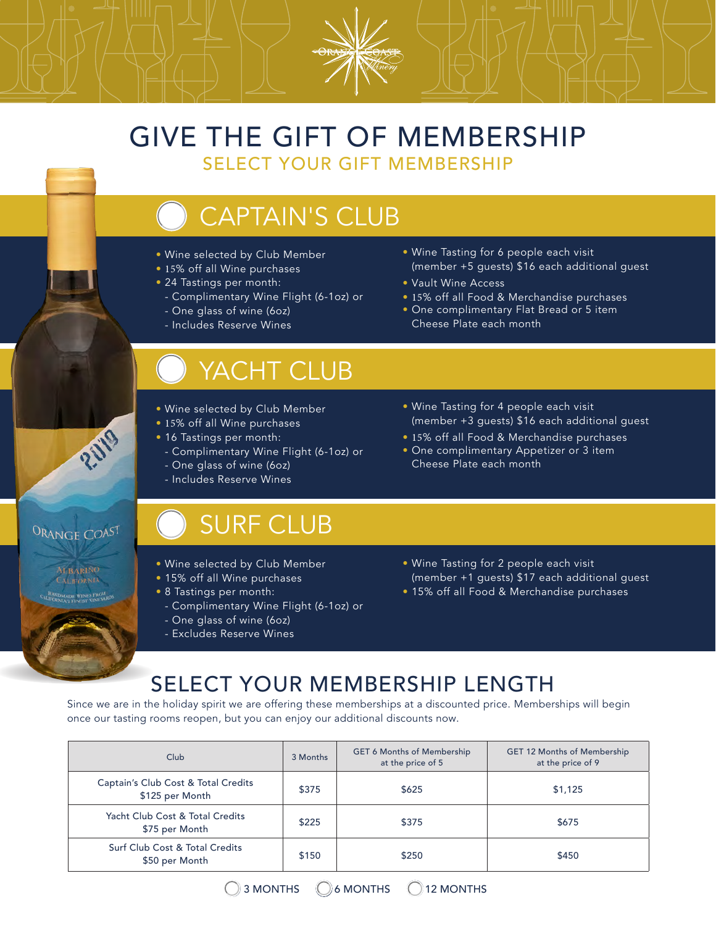#### GIVE THE GIFT OF MEMBERSHIP SELECT YOUR GIFT MEMBERSHIP

# CAPTAIN'S CLUB

- Wine selected by Club Member
- 15% off all Wine purchases
- 24 Tastings per month:
- Complimentary Wine Flight (6-1oz) or - One glass of wine (6oz)
- Includes Reserve Wines

## YACHT CLUB

- Wine selected by Club Member
- 15% off all Wine purchases
- 16 Tastings per month:
	- Complimentary Wine Flight (6-1oz) or - One glass of wine (6oz)
	- Includes Reserve Wines

### SURF CLUB

- Wine selected by Club Member
- 15% off all Wine purchases
- 8 Tastings per month:

ORANGE COAST

**H BARINO** 

- Complimentary Wine Flight (6-1oz) or - One glass of wine (6oz)
- Excludes Reserve Wines
- (member +3 guests) \$16 each additional guest • 15% off all Food & Merchandise purchases
- **One complimentary Appetizer or 3 item** Cheese Plate each month

• Wine Tasting for 4 people each visit

• Wine Tasting for 6 people each visit

• Vault Wine Access

Cheese Plate each month

(member +5 guests) \$16 each additional guest

• 15% off all Food & Merchandise purchases • One complimentary Flat Bread or 5 item

- Wine Tasting for 2 people each visit (member +1 guests) \$17 each additional guest
- 15% off all Food & Merchandise purchases

### SELECT YOUR MEMBERSHIP LENGTH

Since we are in the holiday spirit we are offering these memberships at a discounted price. Memberships will begin once our tasting rooms reopen, but you can enjoy our additional discounts now.

| Club                                                   | 3 Months | <b>GET 6 Months of Membership</b><br>at the price of 5 | GET 12 Months of Membership<br>at the price of 9 |
|--------------------------------------------------------|----------|--------------------------------------------------------|--------------------------------------------------|
| Captain's Club Cost & Total Credits<br>\$125 per Month | \$375    | \$625                                                  | \$1,125                                          |
| Yacht Club Cost & Total Credits<br>\$75 per Month      | \$225    | \$375                                                  | \$675                                            |
| Surf Club Cost & Total Credits<br>\$50 per Month       | \$150    | \$250                                                  | \$450                                            |